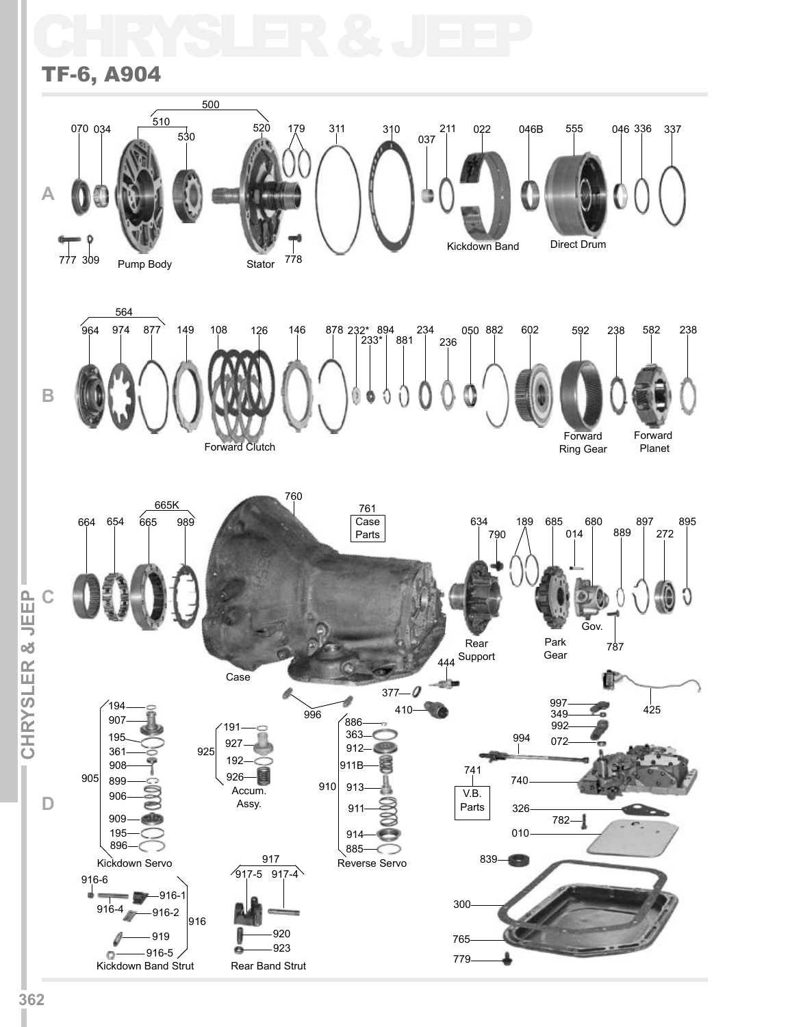## CHRYSLER & JEEP